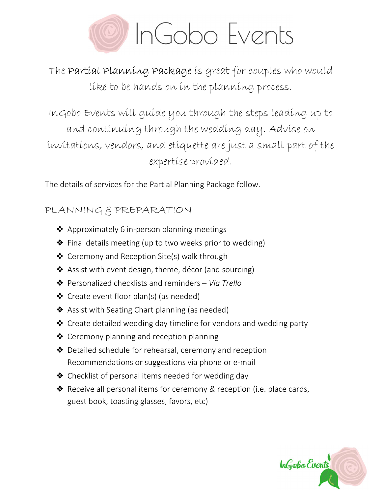

The Partial Planning Package is great for couples who would like to be hands on in the planning process.

InGobo Events will guide you through the steps leading up to and continuing through the wedding day. Advise on invitations, vendors, and etiquette are just a small part of the expertise provided.

The details of services for the Partial Planning Package follow.

# PLANNING & PREPARATION

- ❖ Approximately 6 in-person planning meetings
- ❖ Final details meeting (up to two weeks prior to wedding)
- ❖ Ceremony and Reception Site(s) walk through
- ❖ Assist with event design, theme, décor (and sourcing)
- ❖ Personalized checklists and reminders Via Trello
- ❖ Create event floor plan(s) (as needed)
- ❖ Assist with Seating Chart planning (as needed)
- ❖ Create detailed wedding day timeline for vendors and wedding party
- ❖ Ceremony planning and reception planning
- ❖ Detailed schedule for rehearsal, ceremony and reception Recommendations or suggestions via phone or e-mail
- ❖ Checklist of personal items needed for wedding day
- ❖ Receive all personal items for ceremony & reception (i.e. place cards, guest book, toasting glasses, favors, etc)

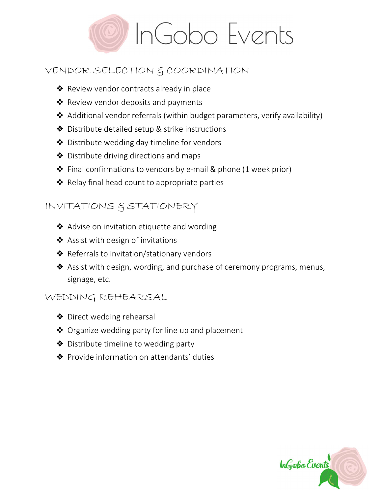

## VENDOR SELECTION & COORDINATION

- ❖ Review vendor contracts already in place
- ❖ Review vendor deposits and payments
- ❖ Additional vendor referrals (within budget parameters, verify availability)
- ❖ Distribute detailed setup & strike instructions
- ❖ Distribute wedding day timeline for vendors
- ❖ Distribute driving directions and maps
- ❖ Final confirmations to vendors by e-mail & phone (1 week prior)
- ❖ Relay final head count to appropriate parties

## INVITATIONS & STATIONERY

- ❖ Advise on invitation etiquette and wording
- **❖** Assist with design of invitations
- ❖ Referrals to invitation/stationary vendors
- ❖ Assist with design, wording, and purchase of ceremony programs, menus, signage, etc.

#### WEDDING REHEARSAL

- ❖ Direct wedding rehearsal
- ❖ Organize wedding party for line up and placement
- ❖ Distribute timeline to wedding party
- ❖ Provide information on attendants' duties